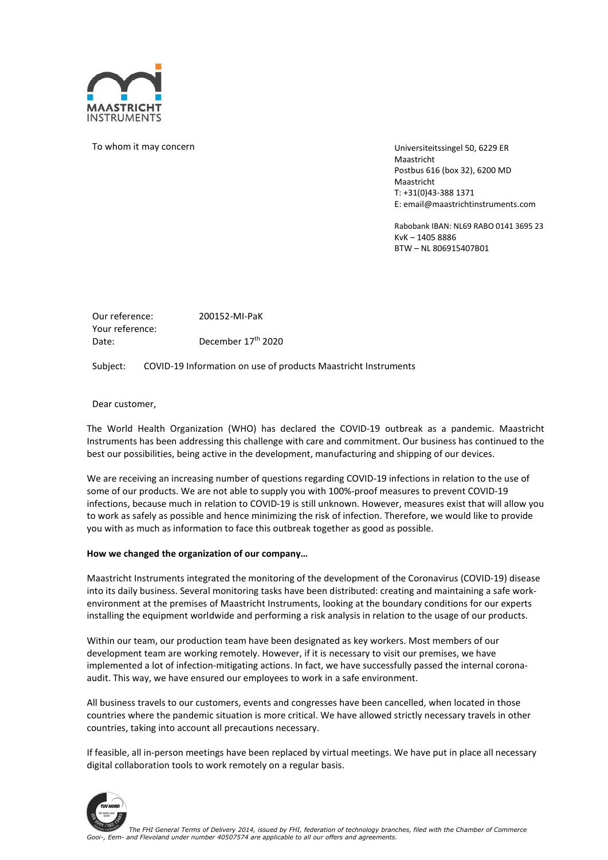

To whom it may concern

Universiteitssingel 50, 6229 ER **Maastricht** Postbus 616 (box 32), 6200 MD Maastricht T: +31(0)43-388 1371 E: email@maastrichtinstruments.com

Rabobank IBAN: NL69 RABO 0141 3695 23 KvK – 1405 8886 BTW – NL 806915407B01

Our reference: 200152-MI-PaK Your reference: Date: December 17<sup>th</sup> 2020

Subject: COVID-19 Information on use of products Maastricht Instruments

Dear customer,

The World Health Organization (WHO) has declared the COVID-19 outbreak as a pandemic. Maastricht Instruments has been addressing this challenge with care and commitment. Our business has continued to the best our possibilities, being active in the development, manufacturing and shipping of our devices.

We are receiving an increasing number of questions regarding COVID-19 infections in relation to the use of some of our products. We are not able to supply you with 100%-proof measures to prevent COVID-19 infections, because much in relation to COVID-19 is still unknown. However, measures exist that will allow you to work as safely as possible and hence minimizing the risk of infection. Therefore, we would like to provide you with as much as information to face this outbreak together as good as possible.

#### How we changed the organization of our company…

Maastricht Instruments integrated the monitoring of the development of the Coronavirus (COVID-19) disease into its daily business. Several monitoring tasks have been distributed: creating and maintaining a safe workenvironment at the premises of Maastricht Instruments, looking at the boundary conditions for our experts installing the equipment worldwide and performing a risk analysis in relation to the usage of our products.

Within our team, our production team have been designated as key workers. Most members of our development team are working remotely. However, if it is necessary to visit our premises, we have implemented a lot of infection-mitigating actions. In fact, we have successfully passed the internal coronaaudit. This way, we have ensured our employees to work in a safe environment.

All business travels to our customers, events and congresses have been cancelled, when located in those countries where the pandemic situation is more critical. We have allowed strictly necessary travels in other countries, taking into account all precautions necessary.

If feasible, all in-person meetings have been replaced by virtual meetings. We have put in place all necessary digital collaboration tools to work remotely on a regular basis.

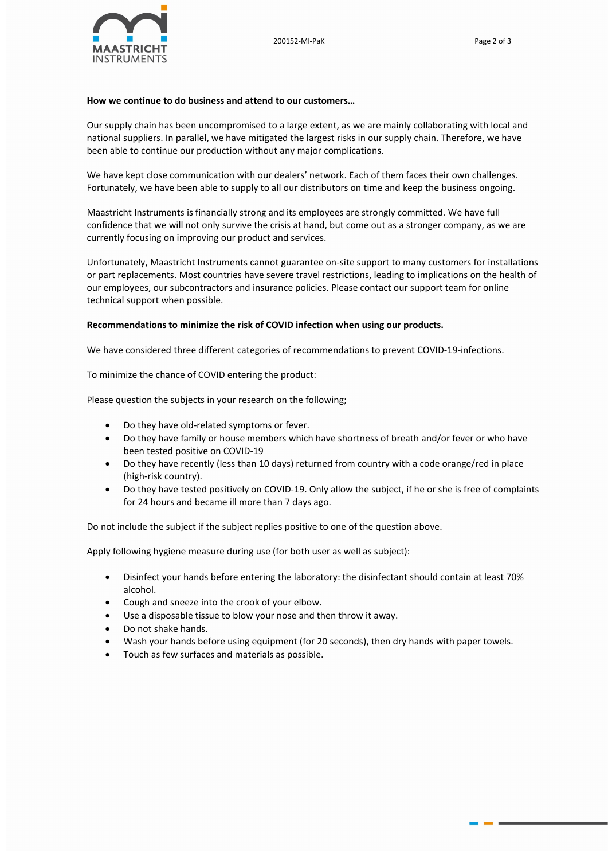

## How we continue to do business and attend to our customers…

Our supply chain has been uncompromised to a large extent, as we are mainly collaborating with local and national suppliers. In parallel, we have mitigated the largest risks in our supply chain. Therefore, we have been able to continue our production without any major complications.

We have kept close communication with our dealers' network. Each of them faces their own challenges. Fortunately, we have been able to supply to all our distributors on time and keep the business ongoing.

Maastricht Instruments is financially strong and its employees are strongly committed. We have full confidence that we will not only survive the crisis at hand, but come out as a stronger company, as we are currently focusing on improving our product and services.

Unfortunately, Maastricht Instruments cannot guarantee on-site support to many customers for installations or part replacements. Most countries have severe travel restrictions, leading to implications on the health of our employees, our subcontractors and insurance policies. Please contact our support team for online technical support when possible.

## Recommendations to minimize the risk of COVID infection when using our products.

We have considered three different categories of recommendations to prevent COVID-19-infections.

## To minimize the chance of COVID entering the product:

Please question the subjects in your research on the following;

- Do they have old-related symptoms or fever.
- Do they have family or house members which have shortness of breath and/or fever or who have been tested positive on COVID-19
- Do they have recently (less than 10 days) returned from country with a code orange/red in place (high-risk country).
- Do they have tested positively on COVID-19. Only allow the subject, if he or she is free of complaints for 24 hours and became ill more than 7 days ago.

Do not include the subject if the subject replies positive to one of the question above.

Apply following hygiene measure during use (for both user as well as subject):

- Disinfect your hands before entering the laboratory: the disinfectant should contain at least 70% alcohol.
- Cough and sneeze into the crook of your elbow.
- Use a disposable tissue to blow your nose and then throw it away.
- Do not shake hands.
- Wash your hands before using equipment (for 20 seconds), then dry hands with paper towels.
- Touch as few surfaces and materials as possible.